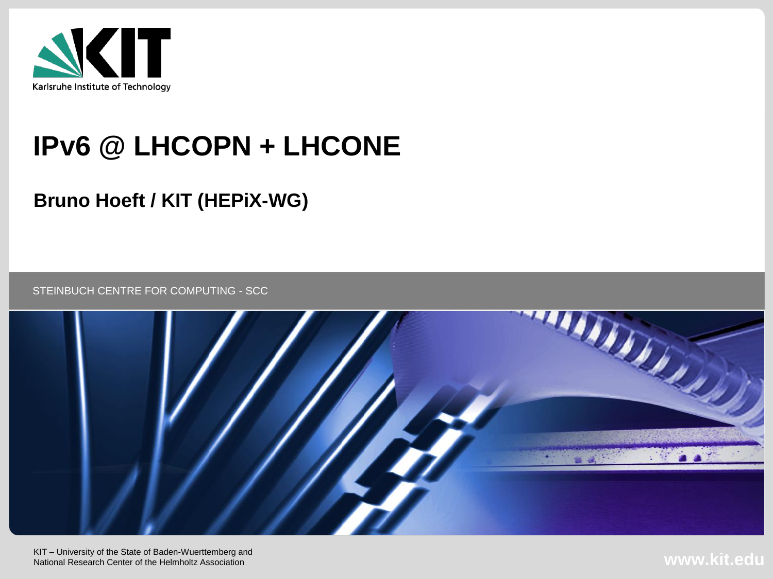

## **IPv6 @ LHCOPN + LHCONE**

#### **Bruno Hoeft / KIT (HEPiX-WG)**

STEINBUCH CENTRE FOR COMPUTING - SCC



KIT – University of the State of Baden-Wuerttemberg and National Research Center of the Helmholtz Association

**www.kit.edu**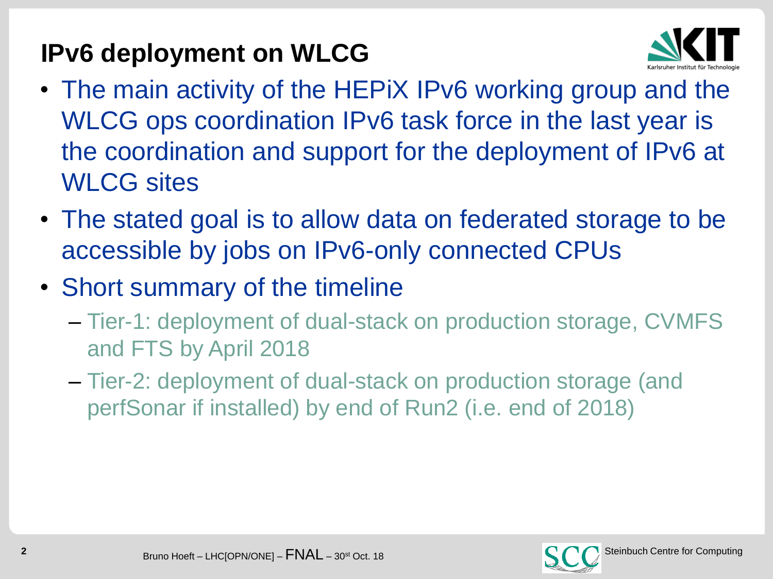## **IPv6 deployment on WLCG**



- The main activity of the HEPIX IPv6 working group and the WLCG ops coordination IPv6 task force in the last year is the coordination and support for the deployment of IPv6 at WLCG sites
- The stated goal is to allow data on federated storage to be accessible by jobs on IPv6-only connected CPUs
- Short summary of the timeline
	- Tier-1: deployment of dual-stack on production storage, CVMFS and FTS by April 2018
	- Tier-2: deployment of dual-stack on production storage (and perfSonar if installed) by end of Run2 (i.e. end of 2018)

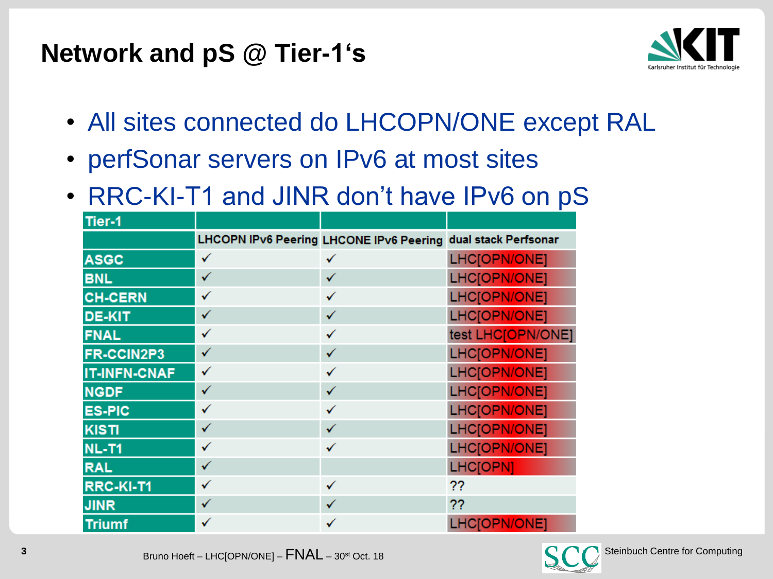## **Network and pS @ Tier-1's**



- All sites connected do LHCOPN/ONE except RAL
- perfSonar servers on IPv6 at most sites
- RRC-KI-T1 and JINR don't have IPv6 on pS

| Tier-1              |   |                                                              |                   |
|---------------------|---|--------------------------------------------------------------|-------------------|
|                     |   | LHCOPN IPv6 Peering LHCONE IPv6 Peering dual stack Perfsonar |                   |
| <b>ASGC</b>         | ✓ | ✓                                                            | LHC[OPN/ONE]      |
| <b>BNL</b>          | ✓ | ✓                                                            | LHC[OPN/ONE]      |
| <b>CH-CERN</b>      | ✓ | ✓                                                            | LHC[OPN/ONE]      |
| <b>DE-KIT</b>       | ✓ | ✓                                                            | LHC[OPN/ONE]      |
| <b>FNAL</b>         | ✓ | ✓                                                            | test LHC[OPN/ONE] |
| FR-CCIN2P3          | ✓ | ✓                                                            | LHC[OPN/ONE]      |
| <b>IT-INFN-CNAF</b> | ✓ | ✓                                                            | LHC[OPN/ONE]      |
| <b>NGDF</b>         | ✓ | ✓                                                            | LHC[OPN/ONE]      |
| <b>ES-PIC</b>       | ✓ | ✓                                                            | LHC[OPN/ONE]      |
| <b>KISTI</b>        | ✓ | ✓                                                            | LHC[OPN/ONE]      |
| <b>NL-T1</b>        | ✓ | ✓                                                            | LHC[OPN/ONE]      |
| <b>RAL</b>          | ✓ |                                                              | <b>LHC[OPN]</b>   |
| RRC-KI-T1           | ✓ | ✓                                                            | ??                |
| <b>JINR</b>         | ✓ | √                                                            | ??                |
| <b>Triumf</b>       | ✓ | ✓                                                            | LHC[OPN/ONE]      |

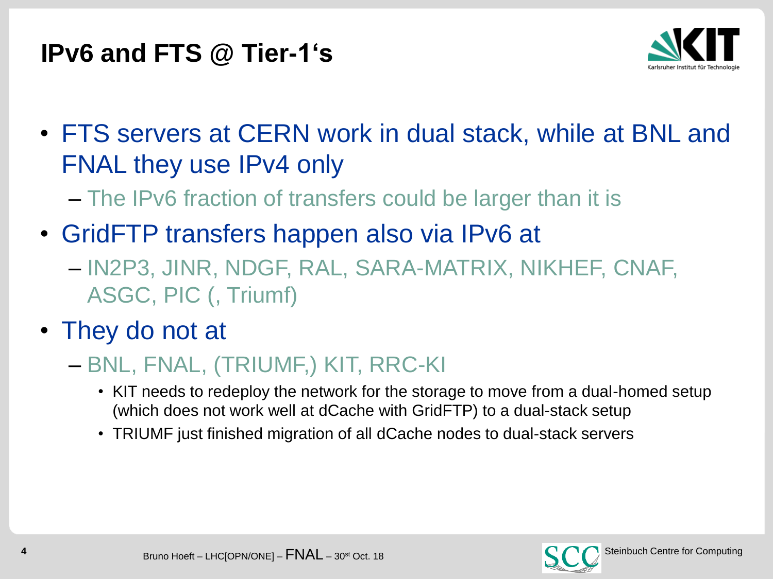## **IPv6 and FTS @ Tier-1's**



- FTS servers at CERN work in dual stack, while at BNL and FNAL they use IPv4 only
	- The IPv6 fraction of transfers could be larger than it is
- GridFTP transfers happen also via IPv6 at
	- IN2P3, JINR, NDGF, RAL, SARA-MATRIX, NIKHEF, CNAF, ASGC, PIC (, Triumf)
- They do not at
	- BNL, FNAL, (TRIUMF,) KIT, RRC-KI
		- KIT needs to redeploy the network for the storage to move from a dual-homed setup (which does not work well at dCache with GridFTP) to a dual-stack setup
		- TRIUMF just finished migration of all dCache nodes to dual-stack servers

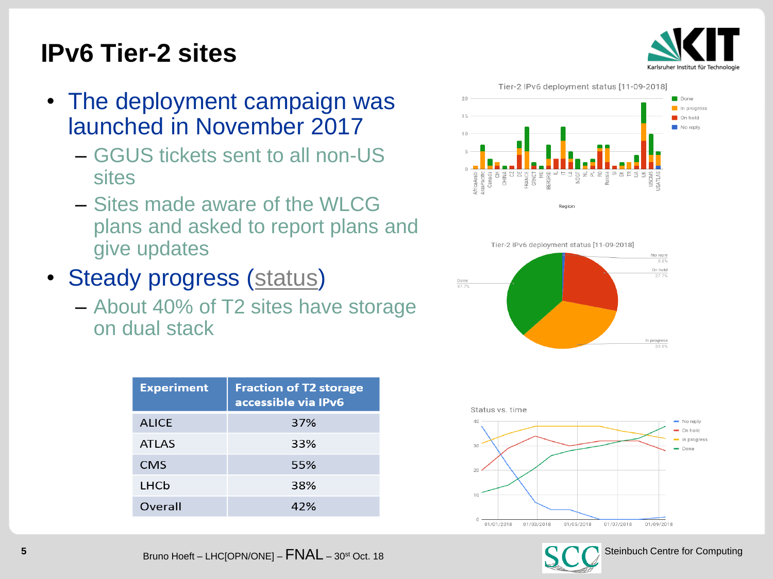

## **IPv6 Tier-2 sites**

- The deployment campaign was launched in November 2017
	- GGUS tickets sent to all non-US sites
	- Sites made aware of the WLCG plans and asked to report plans and give updates
- Steady progress [\(status](https://twiki.cern.ch/twiki/bin/view/LCG/WlcgIpv6#WLCG_Tier_2_IPv6_deployment_stat))
	- About 40% of T2 sites have storage on dual stack

| <b>Experiment</b> | <b>Fraction of T2 storage</b><br>accessible via IPv6 |
|-------------------|------------------------------------------------------|
| <b>ALICE</b>      | 37%                                                  |
| <b>ATLAS</b>      | 33%                                                  |
| <b>CMS</b>        | 55%                                                  |
| LHCb              | 38%                                                  |
| Overall           | 42%                                                  |







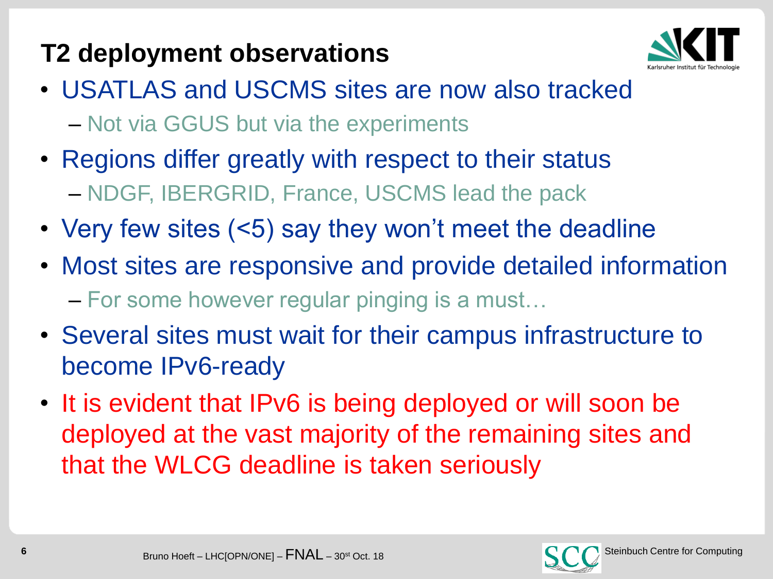## **T2 deployment observations**



- USATLAS and USCMS sites are now also tracked – Not via GGUS but via the experiments
- Regions differ greatly with respect to their status – NDGF, IBERGRID, France, USCMS lead the pack
- Very few sites (<5) say they won't meet the deadline
- Most sites are responsive and provide detailed information – For some however regular pinging is a must…
- Several sites must wait for their campus infrastructure to become IPv6-ready
- It is evident that IPv6 is being deployed or will soon be deployed at the vast majority of the remaining sites and that the WLCG deadline is taken seriously

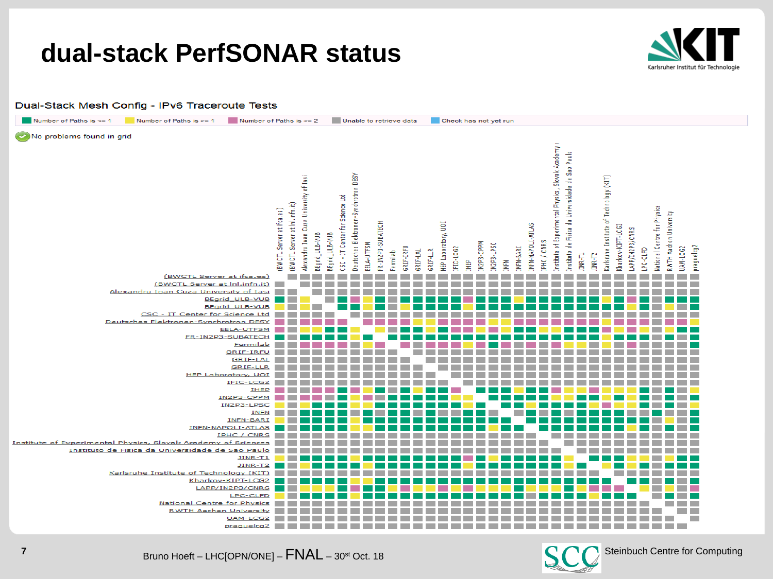### **dual-stack PerfSONAR status**



Dual-Stack Mesh Config - IPv6 Traceroute Tests



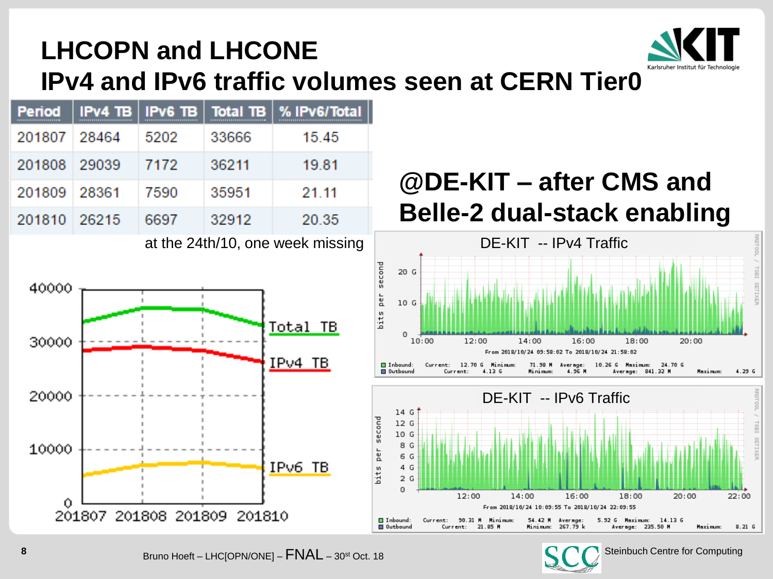

## **LHCOPN and LHCONE IPv4 and IPv6 traffic volumes seen at CERN Tier0**

| <b>Period</b><br>                 |       |      |       | $IPv4$ TB   IPv6 TB   Total TB   % IPv6/Total |  |
|-----------------------------------|-------|------|-------|-----------------------------------------------|--|
| 201807 28464                      |       | 5202 | 33666 | 15.45                                         |  |
| 201808 29039                      |       | 7172 | 36211 | 19.81                                         |  |
| 201809 28361                      |       | 7590 | 35951 | 21.11                                         |  |
| 201810                            | 26215 | 6697 | 32912 | 20.35                                         |  |
| at the $24h/40$ and usels migging |       |      |       |                                               |  |

#### at the 24th/10, one week missing



## **@DE-KIT – after CMS and Belle-2 dual-stack enabling**



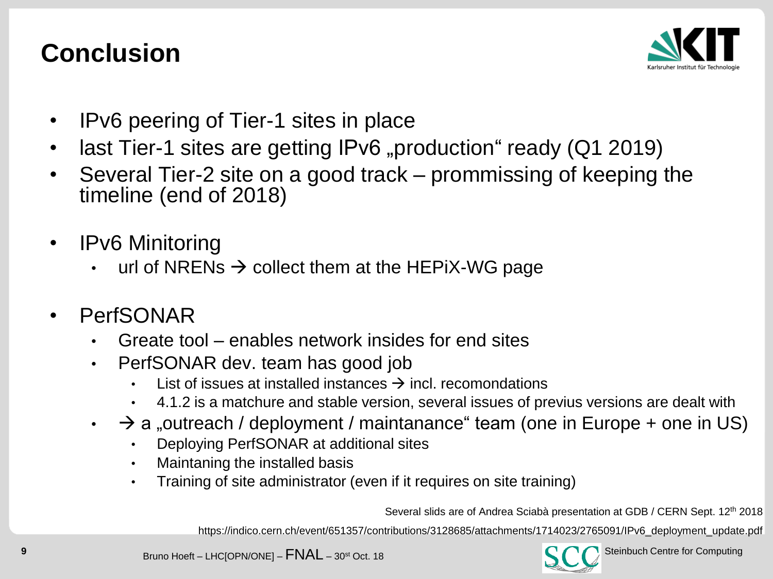## **Conclusion**



- IPv6 peering of Tier-1 sites in place
- last Tier-1 sites are getting IPv6 "production" ready (Q1 2019)
- Several Tier-2 site on a good track prommissing of keeping the timeline (end of 2018)
- **IPv6 Minitoring** 
	- url of NRENs  $\rightarrow$  collect them at the HEPiX-WG page
- **PerfSONAR** 
	- Greate tool enables network insides for end sites
	- PerfSONAR dev. team has good job
		- List of issues at installed instances  $\rightarrow$  incl. recomondations
		- 4.1.2 is a matchure and stable version, several issues of previus versions are dealt with
	- $\rightarrow$  a "outreach / deployment / maintanance" team (one in Europe + one in US)
		- Deploying PerfSONAR at additional sites
		- Maintaning the installed basis
		- Training of site administrator (even if it requires on site training)

Several slids are of Andrea Sciabà presentation at GDB / CERN Sept. 12th 2018

https://indico.cern.ch/event/651357/contributions/3128685/attachments/1714023/2765091/IPv6\_deployment\_update.pdf

**9** Steinbuch Centre for Computing<br>Bruno Hoeft – LHC[OPN/ONE] – **FNAL** – 30<sup>st</sup> Oct. 18